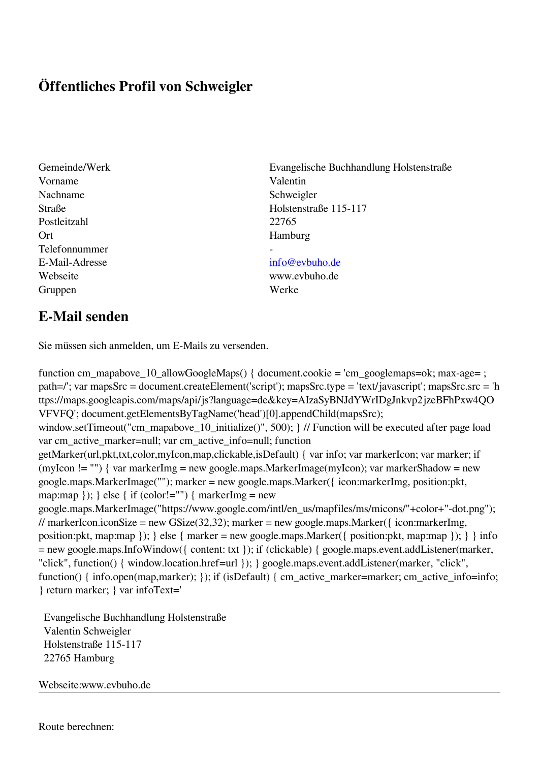## **Öffentliches Profil von Schweigler**

Vorname Valentin Nachname Schweigler Postleitzahl 22765 Ort Hamburg Telefonnummer - E-Mail-Adresse [info@evbuho.de](mailto:info@evbuho.de) Webseite www.evbuho.de Gruppen Werke

Gemeinde/Werk Evangelische Buchhandlung Holstenstraße Straße Holstenstraße 115-117

## **E-Mail senden**

Sie müssen sich anmelden, um E-Mails zu versenden.

function cm\_mapabove\_10\_allowGoogleMaps() { document.cookie = 'cm\_googlemaps=ok; max-age= ; path=/'; var mapsSrc = document.createElement('script'); mapsSrc.type = 'text/javascript'; mapsSrc.src = 'h ttps://maps.googleapis.com/maps/api/js?language=de&key=AIzaSyBNJdYWrIDgJnkvp2jzeBFhPxw4QO VFVFQ'; document.getElementsByTagName('head')[0].appendChild(mapsSrc); window.setTimeout("cm\_mapabove\_10\_initialize()", 500); } // Function will be executed after page load var cm\_active\_marker=null; var cm\_active\_info=null; function getMarker(url,pkt,txt,color,myIcon,map,clickable,isDefault) { var info; var markerIcon; var marker; if (myIcon != "") { var markerImg = new google.maps.MarkerImage(myIcon); var markerShadow = new google.maps.MarkerImage(""); marker = new google.maps.Marker({ icon:markerImg, position:pkt, map:map  $\}$ ;  $\}$  else  $\{$  if (color!="")  $\{$  markerImg = new google.maps.MarkerImage("https://www.google.com/intl/en\_us/mapfiles/ms/micons/"+color+"-dot.png"); // markerIcon.iconSize = new GSize(32,32); marker = new google.maps.Marker({ $i$ con:markerImg, position:pkt, map:map }); } else { marker = new google.maps.Marker({ position:pkt, map:map }); } } info = new google.maps.InfoWindow({ content: txt }); if (clickable) { google.maps.event.addListener(marker, "click", function() { window.location.href=url }); } google.maps.event.addListener(marker, "click", function() { info.open(map,marker); }); if (isDefault) { cm\_active\_marker=marker; cm\_active\_info=info; } return marker; } var infoText='

 Evangelische Buchhandlung Holstenstraße Valentin Schweigler Holstenstraße 115-117 22765 Hamburg

Webseite:www.evbuho.de

Route berechnen: